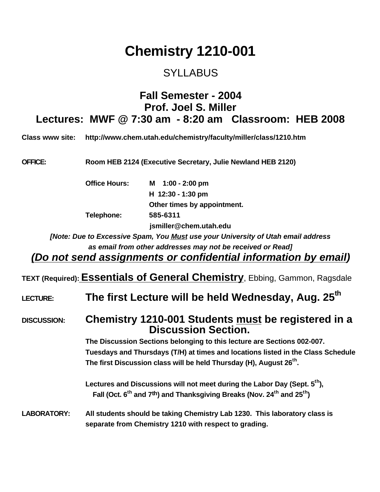# **Chemistry 1210-001**

#### SYLLABUS

#### **Fall Semester - 2004 Prof. Joel S. Miller Lectures: MWF @ 7:30 am - 8:20 am Classroom: HEB 2008**

**Class www site: http://www.chem.utah.edu/chemistry/faculty/miller/class/1210.htm**

**OFFICE: Room HEB 2124 (Executive Secretary, Julie Newland HEB 2120)**

**Office Hours: M 1:00 - 2:00 pm H 12:30 - 1:30 pm Other times by appointment. Telephone: 585-6311 jsmiller@chem.utah.edu**

*[Note: Due to Excessive Spam, You Must use your University of Utah email address as email from other addresses may not be received or Read]*

*(Do not send assignments or confidential information by email)*

**TEXT (Required):Essentials of General Chemistry**, Ebbing, Gammon, Ragsdale

LECTURE: **The first Lecture will be held Wednesday, Aug. 25<sup>th</sup>** 

**DISCUSSION: Chemistry 1210-001 Students must be registered in a Discussion Section.**

> **The Discussion Sections belonging to this lecture are Sections 002-007. Tuesdays and Thursdays (T/H) at times and locations listed in the Class Schedule** The first Discussion class will be held Thursday (H), August 26<sup>th</sup>.

**Lectures and Discussions will not meet during the Labor Day (Sept. 5th),** Fall (Oct. 6<sup>th</sup> and 7<sup>th</sup>) and Thanksgiving Breaks (Nov. 24<sup>th</sup> and 25<sup>th</sup>)

**LABORATORY: All students should be taking Chemistry Lab 1230. This laboratory class is separate from Chemistry 1210 with respect to grading.**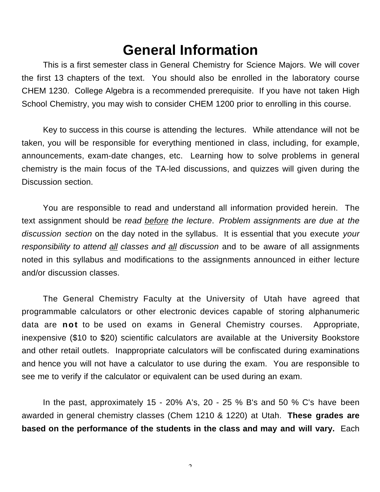## **General Information**

This is a first semester class in General Chemistry for Science Majors. We will cover the first 13 chapters of the text. You should also be enrolled in the laboratory course CHEM 1230. College Algebra is a recommended prerequisite. If you have not taken High School Chemistry, you may wish to consider CHEM 1200 prior to enrolling in this course.

Key to success in this course is attending the lectures. While attendance will not be taken, you will be responsible for everything mentioned in class, including, for example, announcements, exam-date changes, etc. Learning how to solve problems in general chemistry is the main focus of the TA-led discussions, and quizzes will given during the Discussion section.

You are responsible to read and understand all information provided herein. The text assignment should be *read before the lecture*. *Problem assignments are due at the discussion section* on the day noted in the syllabus. It is essential that you execute *your responsibility to attend all classes and all discussion* and to be aware of all assignments noted in this syllabus and modifications to the assignments announced in either lecture and/or discussion classes.

The General Chemistry Faculty at the University of Utah have agreed that programmable calculators or other electronic devices capable of storing alphanumeric data are **not** to be used on exams in General Chemistry courses. Appropriate, inexpensive (\$10 to \$20) scientific calculators are available at the University Bookstore and other retail outlets. Inappropriate calculators will be confiscated during examinations and hence you will not have a calculator to use during the exam. You are responsible to see me to verify if the calculator or equivalent can be used during an exam.

In the past, approximately 15 - 20% A's, 20 - 25 % B's and 50 % C's have been awarded in general chemistry classes (Chem 1210 & 1220) at Utah. **These grades are based on the performance of the students in the class and may and will vary.** Each

 $\gamma$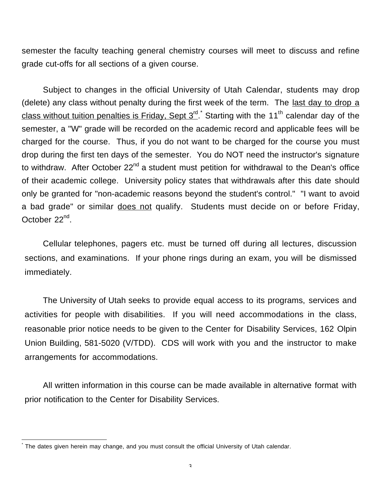semester the faculty teaching general chemistry courses will meet to discuss and refine grade cut-offs for all sections of a given course.

Subject to changes in the official University of Utah Calendar, students may drop (delete) any class without penalty during the first week of the term. The last day to drop a <u>class without tuition penalties is Friday, Sept 3<sup>rd</sup>. Starting with the 11<sup>th</sup> calendar day of the</u> semester, a "W" grade will be recorded on the academic record and applicable fees will be charged for the course. Thus, if you do not want to be charged for the course you must drop during the first ten days of the semester. You do NOT need the instructor's signature to withdraw. After October  $22^{nd}$  a student must petition for withdrawal to the Dean's office of their academic college. University policy states that withdrawals after this date should only be granted for "non-academic reasons beyond the student's control." "I want to avoid a bad grade" or similar does not qualify. Students must decide on or before Friday, October 22<sup>nd</sup>.

Cellular telephones, pagers etc. must be turned off during all lectures, discussion sections, and examinations. If your phone rings during an exam, you will be dismissed immediately.

The University of Utah seeks to provide equal access to its programs, services and activities for people with disabilities. If you will need accommodations in the class, reasonable prior notice needs to be given to the Center for Disability Services, 162 Olpin Union Building, 581-5020 (V/TDD). CDS will work with you and the instructor to make arrangements for accommodations.

All written information in this course can be made available in alternative format with prior notification to the Center for Disability Services.

 $\overline{a}$ \*

The dates given herein may change, and you must consult the official University of Utah calendar.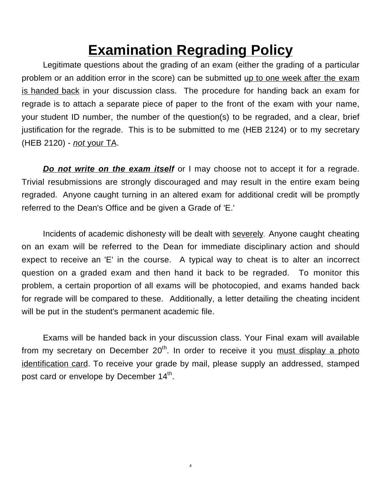# **Examination Regrading Policy**

Legitimate questions about the grading of an exam (either the grading of a particular problem or an addition error in the score) can be submitted up to one week after the exam is handed back in your discussion class. The procedure for handing back an exam for regrade is to attach a separate piece of paper to the front of the exam with your name, your student ID number, the number of the question(s) to be regraded, and a clear, brief justification for the regrade. This is to be submitted to me (HEB 2124) or to my secretary (HEB 2120) - *not* your TA.

*Do not write on the exam itself* or I may choose not to accept it for a regrade. Trivial resubmissions are strongly discouraged and may result in the entire exam being regraded. Anyone caught turning in an altered exam for additional credit will be promptly referred to the Dean's Office and be given a Grade of 'E.'

Incidents of academic dishonesty will be dealt with severely. Anyone caught cheating on an exam will be referred to the Dean for immediate disciplinary action and should expect to receive an 'E' in the course. A typical way to cheat is to alter an incorrect question on a graded exam and then hand it back to be regraded. To monitor this problem, a certain proportion of all exams will be photocopied, and exams handed back for regrade will be compared to these. Additionally, a letter detailing the cheating incident will be put in the student's permanent academic file.

Exams will be handed back in your discussion class. Your Final exam will available from my secretary on December  $20<sup>th</sup>$ . In order to receive it you must display a photo identification card. To receive your grade by mail, please supply an addressed, stamped post card or envelope by December  $14<sup>th</sup>$ .

4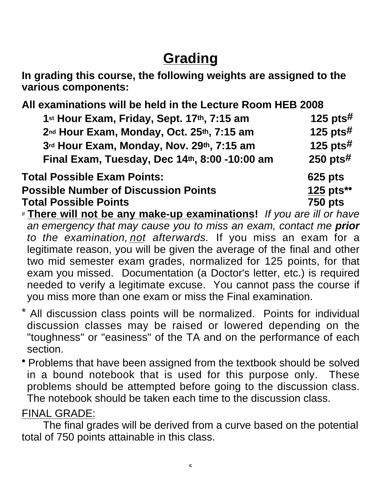# **Grading**

**In grading this course, the following weights are assigned to the various components:**

**All examinations will be held in the Lecture Room HEB 2008 1st Hour Exam, Friday, Sept. 17th, 7:15 am 125 pts# 2nd Hour Exam, Monday, Oct. 25th, 7:15 am 125 pts# 3rd Hour Exam, Monday, Nov. 29th, 7:15 am 125 pts# Final Exam, Tuesday, Dec 14th, 8:00 -10:00 am 250 pts# Total Possible Exam Points: 625 pts Possible Number of Discussion Points 125 pts\*\* Total Possible Points 750 pts**

# **There will not be any make-up examinations!** *If you are ill or have an emergency that may cause you to miss an exam, contact me prior to the examination, not afterwards.* If you miss an exam for a legitimate reason, you will be given the average of the final and other two mid semester exam grades, normalized for 125 points, for that exam you missed. Documentation (a Doctor's letter, etc.) is required needed to verify a legitimate excuse. You cannot pass the course if you miss more than one exam or miss the Final examination.

- All discussion class points will be normalized. Points for individual discussion classes may be raised or lowered depending on the "toughness" or "easiness" of the TA and on the performance of each section.
- Problems that have been assigned from the textbook should be solved in a bound notebook that is used for this purpose only. These problems should be attempted before going to the discussion class. The notebook should be taken each time to the discussion class.

### FINAL GRADE:

The final grades will be derived from a curve based on the potential total of 750 points attainable in this class.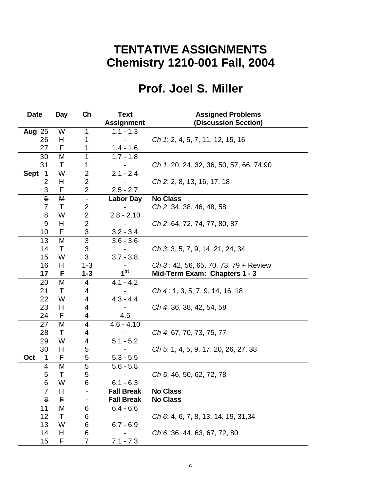### **TENTATIVE ASSIGNMENTS Chemistry 1210-001 Fall, 2004**

## **Prof. Joel S. Miller**

| <b>Date</b>                   | Day | Ch                        | <b>Text</b>       | <b>Assigned Problems</b>                |
|-------------------------------|-----|---------------------------|-------------------|-----------------------------------------|
|                               |     |                           | <b>Assignment</b> | (Discussion Section)                    |
| <b>Aug 25</b>                 | W   | 1                         | $1.1 - 1.3$       |                                         |
| 26                            | H   | 1                         |                   | Ch 1: 2, 4, 5, 7, 11, 12, 15, 16        |
| 27                            | F   | 1                         | $1.4 - 1.6$       |                                         |
| 30                            | M   | 1                         | $1.7 - 1.8$       |                                         |
| 31                            | Τ   | 1                         |                   | Ch 1: 20, 24, 32, 36, 50, 57, 66, 74,90 |
| <b>Sept</b><br>$\overline{1}$ | W   | $\mathbf 2$               | $2.1 - 2.4$       |                                         |
| 2                             | H   | $\overline{2}$            |                   | Ch 2: 2, 8, 13, 16, 17, 18              |
| 3                             | F   | $\overline{2}$            | $2.5 - 2.7$       |                                         |
| $\theta$                      | М   | $\blacksquare$            | <b>Labor Day</b>  | <b>No Class</b>                         |
| $\overline{7}$                | T   | $\boldsymbol{2}$          |                   | Ch 2: 34, 38, 46, 48, 58                |
| 8                             | W   | $\mathbf 2$               | $2.8 - 2.10$      |                                         |
| $\boldsymbol{9}$              | H   | $\overline{2}$            |                   | Ch 2: 64, 72, 74, 77, 80, 87            |
| 10                            | F   | $\ensuremath{\mathsf{3}}$ | $3.2 - 3.4$       |                                         |
| 13                            | M   | 3                         | $3.6 - 3.6$       |                                         |
| 14                            | T   | $\ensuremath{\mathsf{3}}$ |                   | Ch 3: 3, 5, 7, 9, 14, 21, 24, 34        |
| 15                            | W   | 3                         | $3.7 - 3.8$       |                                         |
| 16                            | H   | $1 - 3$                   |                   | $Ch$ 3: 42, 56, 65, 70, 73, 79 + Review |
| 17                            | F   | $1 - 3$                   | $1^{\rm st}$      | Mid-Term Exam: Chapters 1 - 3           |
| 20                            | M   | 4                         | $4.1 - 4.2$       |                                         |
| 21                            | T   | 4                         |                   | $Ch$ 4 : 1, 3, 5, 7, 9, 14, 16, 18      |
| 22                            | W   | 4                         | $4.3 - 4.4$       |                                         |
| 23                            | H   | 4                         |                   | Ch 4: 36, 38, 42, 54, 58                |
| 24                            | F   | 4                         | 4.5               |                                         |
| 27                            | M   | 4                         | $4.6 - 4.10$      |                                         |
| 28                            | Τ   | 4                         |                   | Ch 4: 67, 70, 73, 75, 77                |
| 29                            | W   | 4                         | $5.1 - 5.2$       |                                         |
| 30                            | H   | 5                         |                   | Ch 5: 1, 4, 5, 9, 17, 20, 26, 27, 38    |
| Oct<br>1                      | F   | 5                         | $5.3 - 5.5$       |                                         |
| 4                             | M   | 5                         | $5.6 - 5.8$       |                                         |
| 5                             | Τ   | $\mathbf 5$               |                   | Ch 5: 46, 50, 62, 72, 78                |
| 6                             | W   | 6                         | $6.1 - 6.3$       |                                         |
| $\mathcal{F}_{\mathcal{A}}$   | Ħ   |                           | <b>Fall Break</b> | <b>No Class</b>                         |
| 8                             | F   |                           | <b>Fall Break</b> | <b>No Class</b>                         |
| 11                            | M   | 6                         | $6.4 - 6.6$       |                                         |
| 12                            | Τ   | 6                         |                   | Ch 6: 4, 6, 7, 8, 13, 14, 19, 31,34     |
| 13                            | W   | 6                         | $6.7 - 6.9$       |                                         |
| 14                            | H   | 6                         |                   | Ch 6: 36, 44, 63, 67, 72, 80            |
| 15                            | F   | $\overline{7}$            | $7.1 - 7.3$       |                                         |